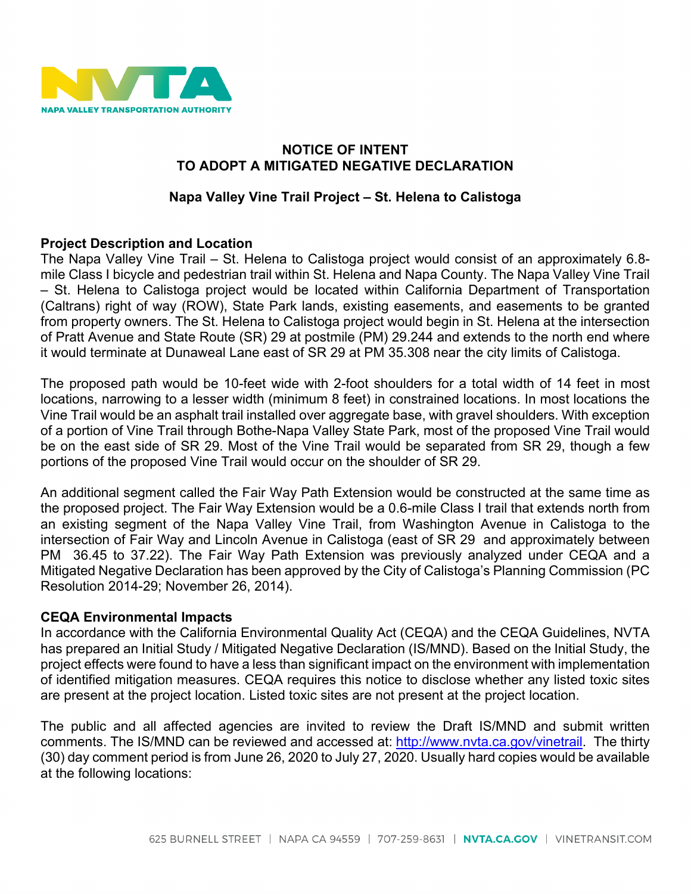

## **NOTICE OF INTENT TO ADOPT A MITIGATED NEGATIVE DECLARATION**

## **Napa Valley Vine Trail Project – St. Helena to Calistoga**

#### **Project Description and Location**

The Napa Valley Vine Trail – St. Helena to Calistoga project would consist of an approximately 6.8 mile Class I bicycle and pedestrian trail within St. Helena and Napa County. The Napa Valley Vine Trail – St. Helena to Calistoga project would be located within California Department of Transportation (Caltrans) right of way (ROW), State Park lands, existing easements, and easements to be granted from property owners. The St. Helena to Calistoga project would begin in St. Helena at the intersection of Pratt Avenue and State Route (SR) 29 at postmile (PM) 29.244 and extends to the north end where it would terminate at Dunaweal Lane east of SR 29 at PM 35.308 near the city limits of Calistoga.

The proposed path would be 10-feet wide with 2-foot shoulders for a total width of 14 feet in most locations, narrowing to a lesser width (minimum 8 feet) in constrained locations. In most locations the Vine Trail would be an asphalt trail installed over aggregate base, with gravel shoulders. With exception of a portion of Vine Trail through Bothe-Napa Valley State Park, most of the proposed Vine Trail would be on the east side of SR 29. Most of the Vine Trail would be separated from SR 29, though a few portions of the proposed Vine Trail would occur on the shoulder of SR 29.

An additional segment called the Fair Way Path Extension would be constructed at the same time as the proposed project. The Fair Way Extension would be a 0.6-mile Class I trail that extends north from an existing segment of the Napa Valley Vine Trail, from Washington Avenue in Calistoga to the intersection of Fair Way and Lincoln Avenue in Calistoga (east of SR 29 and approximately between PM 36.45 to 37.22). The Fair Way Path Extension was previously analyzed under CEQA and a Mitigated Negative Declaration has been approved by the City of Calistoga's Planning Commission (PC Resolution 2014-29; November 26, 2014).

## **CEQA Environmental Impacts**

In accordance with the California Environmental Quality Act (CEQA) and the CEQA Guidelines, NVTA has prepared an Initial Study / Mitigated Negative Declaration (IS/MND). Based on the Initial Study, the project effects were found to have a less than significant impact on the environment with implementation of identified mitigation measures. CEQA requires this notice to disclose whether any listed toxic sites are present at the project location. Listed toxic sites are not present at the project location.

The public and all affected agencies are invited to review the Draft IS/MND and submit written comments. The IS/MND can be reviewed and accessed at: [http://www.nvta.ca.gov/vinetrail.](http://www.nvta.ca.gov/vinetrail) The thirty (30) day comment period is from June 26, 2020 to July 27, 2020. Usually hard copies would be available at the following locations: